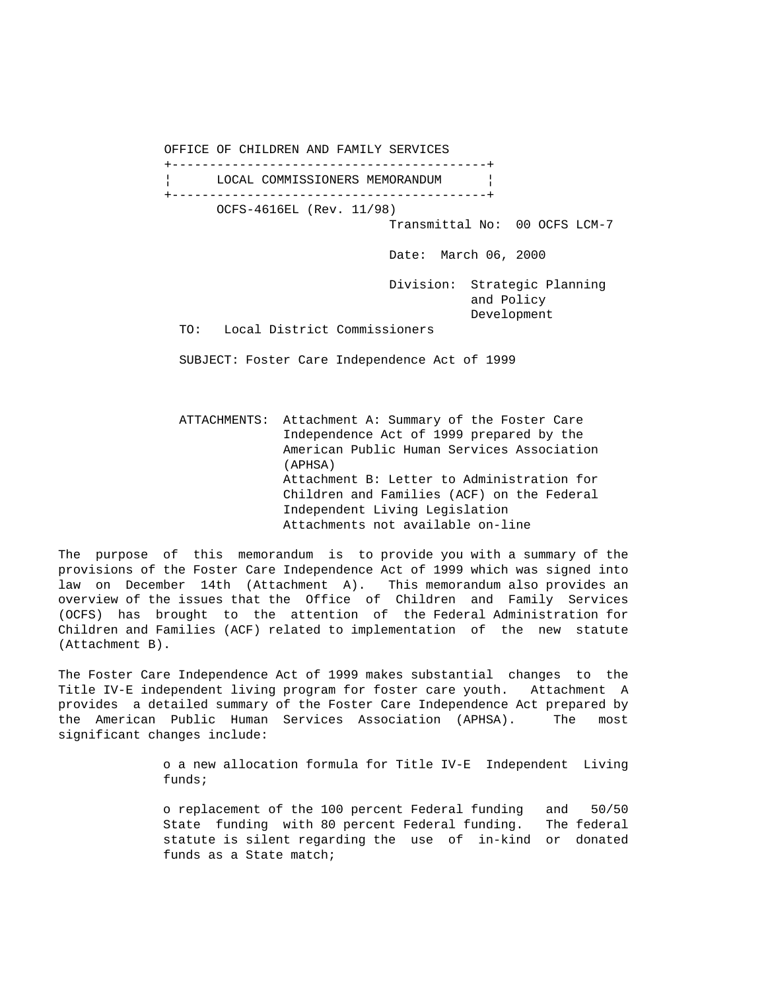OFFICE OF CHILDREN AND FAMILY SERVICES +------------------------------------------+ LOCAL COMMISSIONERS MEMORANDUM +------------------------------------------+ OCFS-4616EL (Rev. 11/98) Transmittal No: 00 OCFS LCM-7 Date: March 06, 2000 Division: Strategic Planning and Policy Development TO: Local District Commissioners

SUBJECT: Foster Care Independence Act of 1999

 ATTACHMENTS: Attachment A: Summary of the Foster Care Independence Act of 1999 prepared by the American Public Human Services Association (APHSA) Attachment B: Letter to Administration for Children and Families (ACF) on the Federal Independent Living Legislation Attachments not available on-line

The purpose of this memorandum is to provide you with a summary of the provisions of the Foster Care Independence Act of 1999 which was signed into law on December 14th (Attachment A). This memorandum also provides an overview of the issues that the Office of Children and Family Services (OCFS) has brought to the attention of the Federal Administration for Children and Families (ACF) related to implementation of the new statute (Attachment B).

The Foster Care Independence Act of 1999 makes substantial changes to the Title IV-E independent living program for foster care youth. Attachment A provides a detailed summary of the Foster Care Independence Act prepared by the American Public Human Services Association (APHSA). The most significant changes include:

> o a new allocation formula for Title IV-E Independent Living funds;

> o replacement of the 100 percent Federal funding and 50/50 State funding with 80 percent Federal funding. The federal statute is silent regarding the use of in-kind or donated funds as a State match;